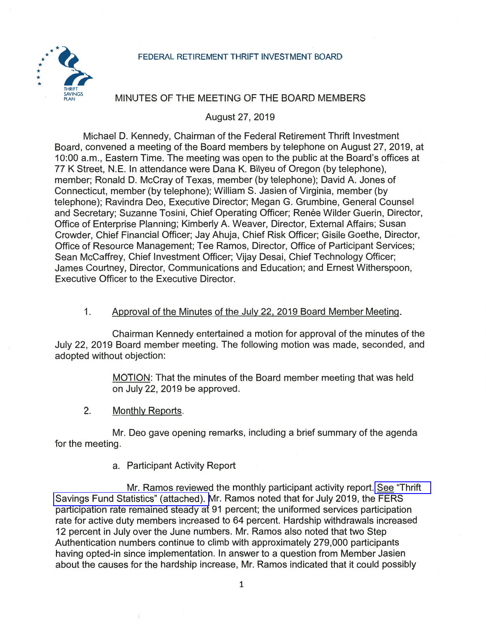### FEDERAL RETIREMENT THRIFT INVESTMENT BOARD



# MINUTES OF THE MEETING OF THE BOARD MEMBERS

August 27, 2019

Michael D. Kennedy, Chairman of the Federal Retirement Thrift Investment Board, convened a meeting of the Board members by telephone on August 27, 2019, at 10:00 a.m., Eastern Time. The meeting was open to the public at the Board's offices at 77 K Street, N.E. In attendance were Dana K. Bilyeu of Oregon (by telephone), member; Ronald D. McCray of Texas, member (by telephone); David A. Jones of Connecticut, member (by telephone); William S. Jasien of Virginia, member (by telephone); Ravindra Deo, Executive Director; Megan G. Grumbine, General Counsel and Secretary; Suzanne Tosini, Chief Operating Officer; Renée Wilder Guerin, Director, Office of Enterprise Planning; Kimberly A. Weaver, Director, External Affairs; Susan Crowder, Chief Financial Officer; Jay Ahuja, Chief Risk Officer; Gisile Goethe, Director, Office of Resource Management; Tee Ramos, Director, Office of Participant Services; Sean McCaffrey, Chief Investment Officer; Vijay Desai, Chief Technology Officer; James Courtney, Director, Communications and Education; and Ernest Witherspoon, Executive Officer to the Executive Director.

### $1<sub>1</sub>$ Approval of the Minutes of the July 22, 2019 Board Member Meeting.

Chairman Kennedy entertained a motion for approval of the minutes of the July 22, 2019 Board member meeting. The following motion was made, seconded, and adopted without objection:

> MOTION: That the minutes of the Board member meeting that was held on July 22, 2019 be approved.

 $2.$ Monthly Reports.

Mr. Deo gave opening remarks, including a brief summary of the agenda for the meeting.

## a. Participant Activity Report

Mr. Ramos reviewed the monthly participant activity report. See "Thrift" Savings Fund Statistics" (attached). Mr. Ramos noted that for July 2019, the FERS participation rate remained steady at 91 percent; the uniformed services participation rate for active duty members increased to 64 percent. Hardship withdrawals increased 12 percent in July over the June numbers. Mr. Ramos also noted that two Step Authentication numbers continue to climb with approximately 279,000 participants having opted-in since implementation. In answer to a question from Member Jasien about the causes for the hardship increase, Mr. Ramos indicated that it could possibly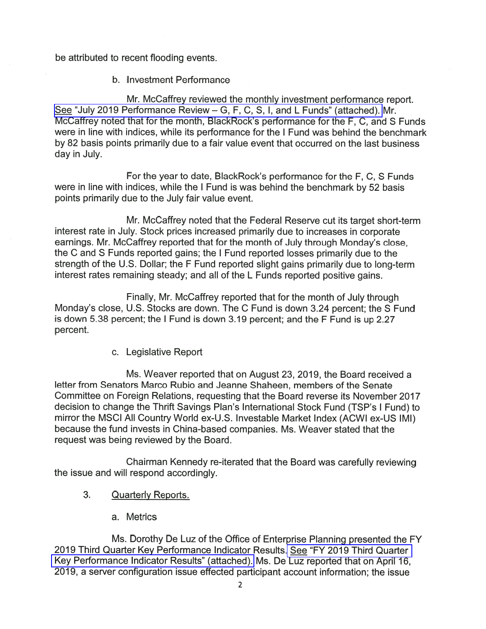be attributed to recent flooding events.

b. Investment Performance

Mr. McCaffrey reviewed the monthly investment performance report. See "July 2019 Performance Review – G, F, C, S, I, and L Funds" (attached). Mr. McCaffrey noted that for the month, BlackRock's performance for the F, C, and S Funds were in line with indices, while its performance for the I Fund was behind the benchmark by 82 basis points primarily due to a fair value event that occurred on the last business day in July.

For the year to date, BlackRock's performance for the F, C, S Funds were in line with indices, while the I Fund is was behind the benchmark by 52 basis points primarily due to the July fair value event.

Mr. McCaffrey noted that the Federal Reserve cut its target short-term interest rate in July. Stock prices increased primarily due to increases in corporate earnings. Mr. McCaffrey reported that for the month of July through Monday's close. the C and S Funds reported gains; the I Fund reported losses primarily due to the strength of the U.S. Dollar; the F Fund reported slight gains primarily due to long-term interest rates remaining steady; and all of the L Funds reported positive gains.

Finally, Mr. McCaffrey reported that for the month of July through Monday's close, U.S. Stocks are down. The C Fund is down 3.24 percent; the S Fund is down 5.38 percent; the I Fund is down 3.19 percent; and the F Fund is up 2.27 percent.

c. Legislative Report

Ms. Weaver reported that on August 23, 2019, the Board received a letter from Senators Marco Rubio and Jeanne Shaheen, members of the Senate Committee on Foreign Relations, requesting that the Board reverse its November 2017 decision to change the Thrift Savings Plan's International Stock Fund (TSP's I Fund) to mirror the MSCI All Country World ex-U.S. Investable Market Index (ACWI ex-US IMI) because the fund invests in China-based companies. Ms. Weaver stated that the request was being reviewed by the Board.

Chairman Kennedy re-iterated that the Board was carefully reviewing the issue and will respond accordingly.

- 3. **Quarterly Reports.** 
	- a. Metrics

Ms. Dorothy De Luz of the Office of Enterprise Planning presented the FY 2019 Third Quarter Key Performance Indicator Results. See "FY 2019 Third Quarter Key Performance Indicator Results" (attached). Ms. De Luz reported that on April 16, 2019, a server configuration issue effected participant account information; the issue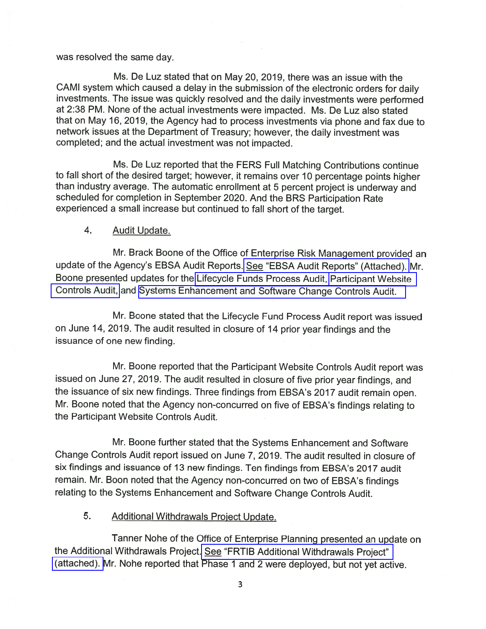### was resolved the same day.

Ms. De Luz stated that on May 20, 2019, there was an issue with the CAMI system which caused a delay in the submission of the electronic orders for daily investments. The issue was quickly resolved and the daily investments were performed at 2:38 PM. None of the actual investments were impacted. Ms. De Luz also stated that on May 16, 2019, the Agency had to process investments via phone and fax due to network issues at the Department of Treasury; however, the daily investment was completed; and the actual investment was not impacted.

Ms. De Luz reported that the FERS Full Matching Contributions continue to fall short of the desired target; however, it remains over 10 percentage points higher than industry average. The automatic enrollment at 5 percent project is underway and scheduled for completion in September 2020. And the BRS Participation Rate experienced a small increase but continued to fall short of the target.

#### $\overline{4}$ . **Audit Update.**

Mr. Brack Boone of the Office of Enterprise Risk Management provided an update of the Agency's EBSA Audit Reports. See "EBSA Audit Reports" (Attached). Mr. Boone presented updates for the Lifecycle Funds Process Audit, Participant Website Controls Audit, and Systems Enhancement and Software Change Controls Audit.

Mr. Boone stated that the Lifecycle Fund Process Audit report was issued on June 14, 2019. The audit resulted in closure of 14 prior year findings and the issuance of one new finding.

Mr. Boone reported that the Participant Website Controls Audit report was issued on June 27, 2019. The audit resulted in closure of five prior year findings, and the issuance of six new findings. Three findings from EBSA's 2017 audit remain open. Mr. Boone noted that the Agency non-concurred on five of EBSA's findings relating to the Participant Website Controls Audit.

Mr. Boone further stated that the Systems Enhancement and Software Change Controls Audit report issued on June 7, 2019. The audit resulted in closure of six findings and issuance of 13 new findings. Ten findings from EBSA's 2017 audit remain. Mr. Boon noted that the Agency non-concurred on two of EBSA's findings relating to the Systems Enhancement and Software Change Controls Audit.

#### 5. **Additional Withdrawals Project Update.**

Tanner Nohe of the Office of Enterprise Planning presented an update on the Additional Withdrawals Project. See "FRTIB Additional Withdrawals Project" (attached). Mr. Nohe reported that Phase 1 and 2 were deployed, but not yet active.